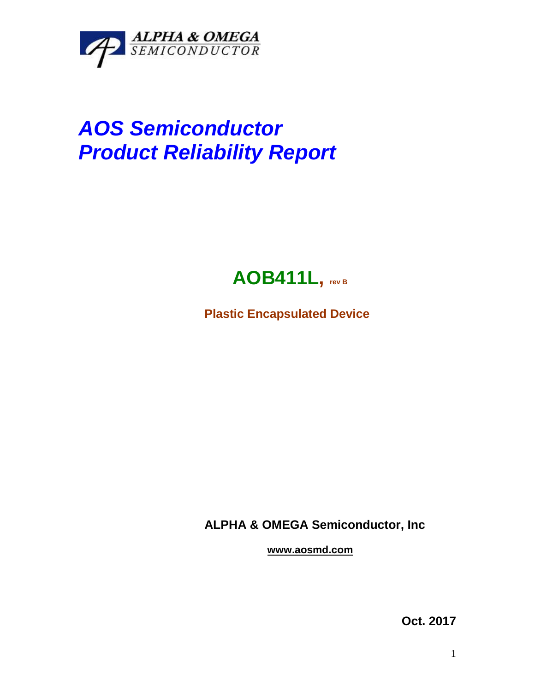

## *AOS Semiconductor Product Reliability Report*



**Plastic Encapsulated Device**

**ALPHA & OMEGA Semiconductor, Inc**

**www.aosmd.com**

**Oct. 2017**